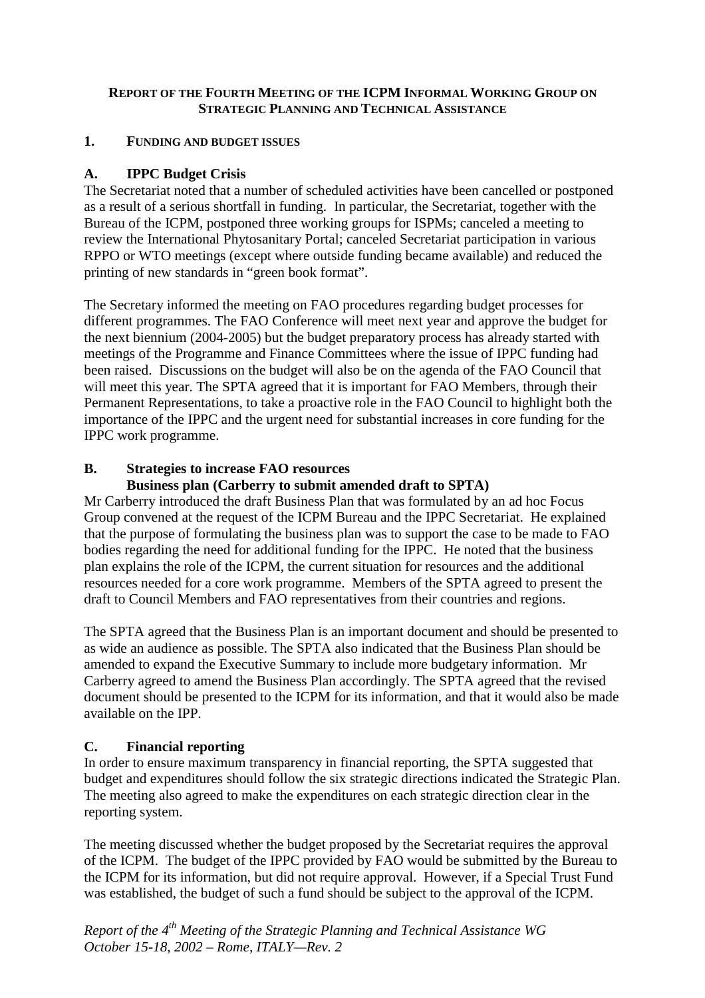# **REPORT OF THE FOURTH MEETING OF THE ICPM INFORMAL WORKING GROUP ON STRATEGIC PLANNING AND TECHNICAL ASSISTANCE**

## **1. FUNDING AND BUDGET ISSUES**

# **A. IPPC Budget Crisis**

The Secretariat noted that a number of scheduled activities have been cancelled or postponed as a result of a serious shortfall in funding. In particular, the Secretariat, together with the Bureau of the ICPM, postponed three working groups for ISPMs; canceled a meeting to review the International Phytosanitary Portal; canceled Secretariat participation in various RPPO or WTO meetings (except where outside funding became available) and reduced the printing of new standards in "green book format".

The Secretary informed the meeting on FAO procedures regarding budget processes for different programmes. The FAO Conference will meet next year and approve the budget for the next biennium (2004-2005) but the budget preparatory process has already started with meetings of the Programme and Finance Committees where the issue of IPPC funding had been raised. Discussions on the budget will also be on the agenda of the FAO Council that will meet this year. The SPTA agreed that it is important for FAO Members, through their Permanent Representations, to take a proactive role in the FAO Council to highlight both the importance of the IPPC and the urgent need for substantial increases in core funding for the IPPC work programme.

# **B. Strategies to increase FAO resources**

# **Business plan (Carberry to submit amended draft to SPTA)**

Mr Carberry introduced the draft Business Plan that was formulated by an ad hoc Focus Group convened at the request of the ICPM Bureau and the IPPC Secretariat. He explained that the purpose of formulating the business plan was to support the case to be made to FAO bodies regarding the need for additional funding for the IPPC. He noted that the business plan explains the role of the ICPM, the current situation for resources and the additional resources needed for a core work programme. Members of the SPTA agreed to present the draft to Council Members and FAO representatives from their countries and regions.

The SPTA agreed that the Business Plan is an important document and should be presented to as wide an audience as possible. The SPTA also indicated that the Business Plan should be amended to expand the Executive Summary to include more budgetary information. Mr Carberry agreed to amend the Business Plan accordingly. The SPTA agreed that the revised document should be presented to the ICPM for its information, and that it would also be made available on the IPP*.* 

# **C. Financial reporting**

In order to ensure maximum transparency in financial reporting, the SPTA suggested that budget and expenditures should follow the six strategic directions indicated the Strategic Plan. The meeting also agreed to make the expenditures on each strategic direction clear in the reporting system.

The meeting discussed whether the budget proposed by the Secretariat requires the approval of the ICPM. The budget of the IPPC provided by FAO would be submitted by the Bureau to the ICPM for its information, but did not require approval. However, if a Special Trust Fund was established, the budget of such a fund should be subject to the approval of the ICPM.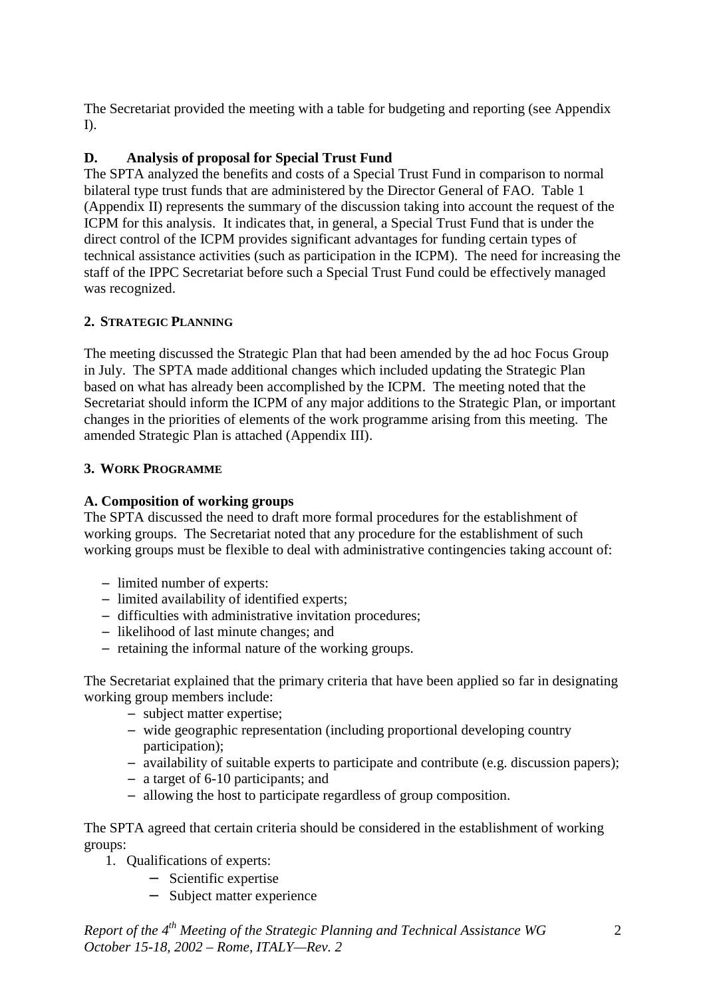The Secretariat provided the meeting with a table for budgeting and reporting (see Appendix I).

# **D. Analysis of proposal for Special Trust Fund**

The SPTA analyzed the benefits and costs of a Special Trust Fund in comparison to normal bilateral type trust funds that are administered by the Director General of FAO. Table 1 (Appendix II) represents the summary of the discussion taking into account the request of the ICPM for this analysis. It indicates that, in general, a Special Trust Fund that is under the direct control of the ICPM provides significant advantages for funding certain types of technical assistance activities (such as participation in the ICPM). The need for increasing the staff of the IPPC Secretariat before such a Special Trust Fund could be effectively managed was recognized.

## **2. STRATEGIC PLANNING**

The meeting discussed the Strategic Plan that had been amended by the ad hoc Focus Group in July. The SPTA made additional changes which included updating the Strategic Plan based on what has already been accomplished by the ICPM. The meeting noted that the Secretariat should inform the ICPM of any major additions to the Strategic Plan, or important changes in the priorities of elements of the work programme arising from this meeting. The amended Strategic Plan is attached (Appendix III).

## **3. WORK PROGRAMME**

## **A. Composition of working groups**

The SPTA discussed the need to draft more formal procedures for the establishment of working groups. The Secretariat noted that any procedure for the establishment of such working groups must be flexible to deal with administrative contingencies taking account of:

- − limited number of experts:
- − limited availability of identified experts;
- − difficulties with administrative invitation procedures;
- − likelihood of last minute changes; and
- − retaining the informal nature of the working groups.

The Secretariat explained that the primary criteria that have been applied so far in designating working group members include:

- − subject matter expertise;
- − wide geographic representation (including proportional developing country participation);
- − availability of suitable experts to participate and contribute (e.g. discussion papers);
- − a target of 6-10 participants; and
- − allowing the host to participate regardless of group composition.

The SPTA agreed that certain criteria should be considered in the establishment of working groups:

- 1. Qualifications of experts:
	- − Scientific expertise
	- − Subject matter experience

*Report of the 4th Meeting of the Strategic Planning and Technical Assistance WG October 15-18, 2002 – Rome, ITALY—Rev. 2*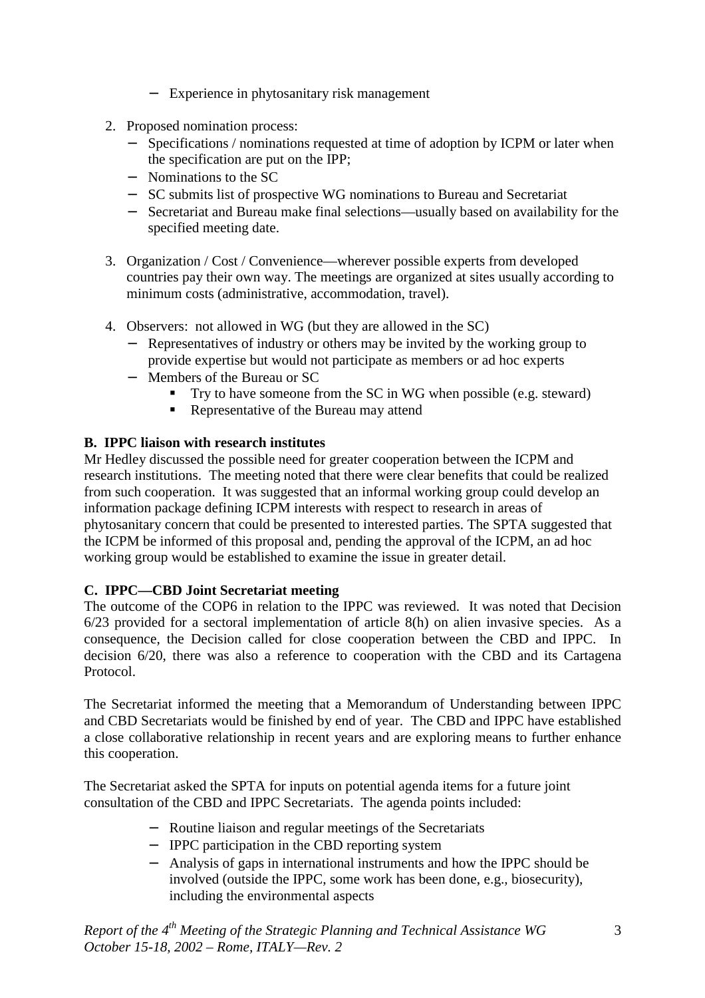- − Experience in phytosanitary risk management
- 2. Proposed nomination process:
	- − Specifications / nominations requested at time of adoption by ICPM or later when the specification are put on the IPP;
	- − Nominations to the SC
	- − SC submits list of prospective WG nominations to Bureau and Secretariat
	- − Secretariat and Bureau make final selections—usually based on availability for the specified meeting date.
- 3. Organization / Cost / Convenience—wherever possible experts from developed countries pay their own way. The meetings are organized at sites usually according to minimum costs (administrative, accommodation, travel).
- 4. Observers: not allowed in WG (but they are allowed in the SC)
	- − Representatives of industry or others may be invited by the working group to provide expertise but would not participate as members or ad hoc experts
	- − Members of the Bureau or SC
		- ! Try to have someone from the SC in WG when possible (e.g. steward)
		- Representative of the Bureau may attend

# **B. IPPC liaison with research institutes**

Mr Hedley discussed the possible need for greater cooperation between the ICPM and research institutions. The meeting noted that there were clear benefits that could be realized from such cooperation. It was suggested that an informal working group could develop an information package defining ICPM interests with respect to research in areas of phytosanitary concern that could be presented to interested parties. The SPTA suggested that the ICPM be informed of this proposal and, pending the approval of the ICPM, an ad hoc working group would be established to examine the issue in greater detail.

# **C. IPPC—CBD Joint Secretariat meeting**

The outcome of the COP6 in relation to the IPPC was reviewed. It was noted that Decision 6/23 provided for a sectoral implementation of article 8(h) on alien invasive species. As a consequence, the Decision called for close cooperation between the CBD and IPPC. In decision 6/20, there was also a reference to cooperation with the CBD and its Cartagena Protocol.

The Secretariat informed the meeting that a Memorandum of Understanding between IPPC and CBD Secretariats would be finished by end of year. The CBD and IPPC have established a close collaborative relationship in recent years and are exploring means to further enhance this cooperation.

The Secretariat asked the SPTA for inputs on potential agenda items for a future joint consultation of the CBD and IPPC Secretariats. The agenda points included:

- − Routine liaison and regular meetings of the Secretariats
- − IPPC participation in the CBD reporting system
- − Analysis of gaps in international instruments and how the IPPC should be involved (outside the IPPC, some work has been done, e.g., biosecurity), including the environmental aspects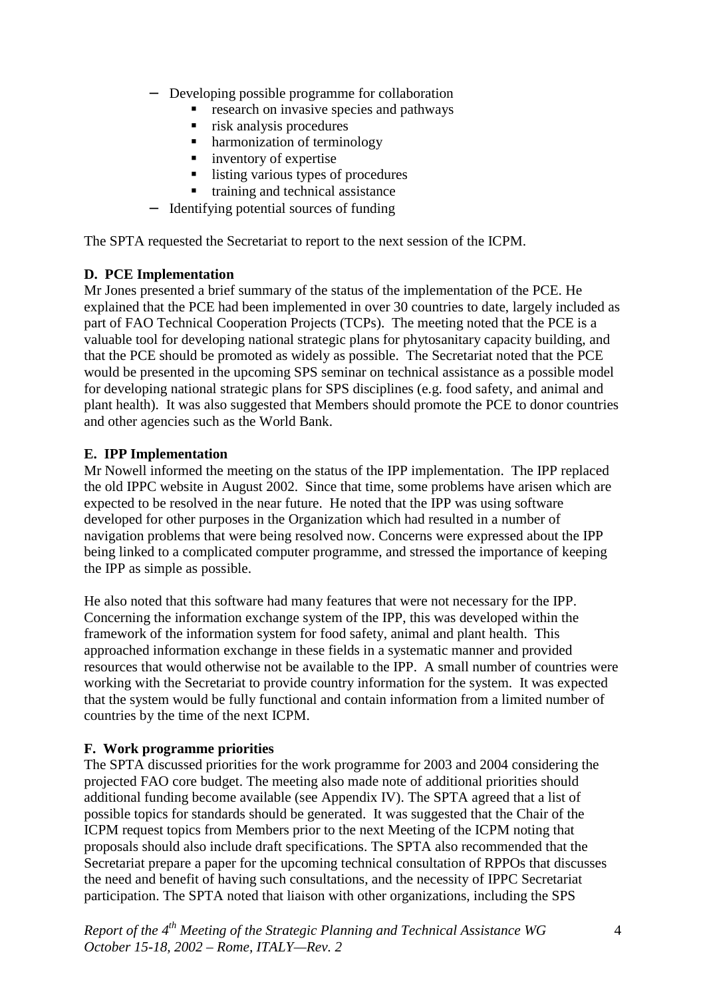- Developing possible programme for collaboration
	- ! research on invasive species and pathways
	- ! risk analysis procedures
	- ! harmonization of terminology
	- **ullet** inventory of expertise
	- listing various types of procedures
	- ! training and technical assistance
- − Identifying potential sources of funding

The SPTA requested the Secretariat to report to the next session of the ICPM.

#### **D. PCE Implementation**

Mr Jones presented a brief summary of the status of the implementation of the PCE. He explained that the PCE had been implemented in over 30 countries to date, largely included as part of FAO Technical Cooperation Projects (TCPs). The meeting noted that the PCE is a valuable tool for developing national strategic plans for phytosanitary capacity building, and that the PCE should be promoted as widely as possible. The Secretariat noted that the PCE would be presented in the upcoming SPS seminar on technical assistance as a possible model for developing national strategic plans for SPS disciplines (e.g. food safety, and animal and plant health). It was also suggested that Members should promote the PCE to donor countries and other agencies such as the World Bank.

### **E. IPP Implementation**

Mr Nowell informed the meeting on the status of the IPP implementation. The IPP replaced the old IPPC website in August 2002. Since that time, some problems have arisen which are expected to be resolved in the near future. He noted that the IPP was using software developed for other purposes in the Organization which had resulted in a number of navigation problems that were being resolved now. Concerns were expressed about the IPP being linked to a complicated computer programme, and stressed the importance of keeping the IPP as simple as possible.

He also noted that this software had many features that were not necessary for the IPP. Concerning the information exchange system of the IPP, this was developed within the framework of the information system for food safety, animal and plant health. This approached information exchange in these fields in a systematic manner and provided resources that would otherwise not be available to the IPP. A small number of countries were working with the Secretariat to provide country information for the system. It was expected that the system would be fully functional and contain information from a limited number of countries by the time of the next ICPM.

#### **F. Work programme priorities**

The SPTA discussed priorities for the work programme for 2003 and 2004 considering the projected FAO core budget. The meeting also made note of additional priorities should additional funding become available (see Appendix IV). The SPTA agreed that a list of possible topics for standards should be generated. It was suggested that the Chair of the ICPM request topics from Members prior to the next Meeting of the ICPM noting that proposals should also include draft specifications. The SPTA also recommended that the Secretariat prepare a paper for the upcoming technical consultation of RPPOs that discusses the need and benefit of having such consultations, and the necessity of IPPC Secretariat participation. The SPTA noted that liaison with other organizations, including the SPS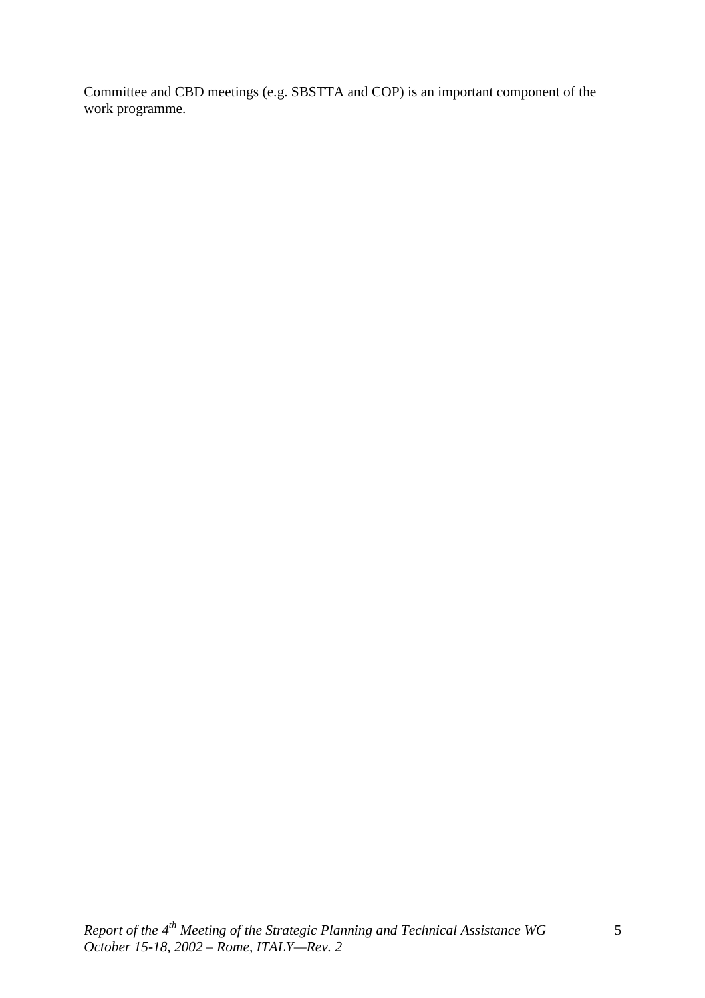Committee and CBD meetings (e.g. SBSTTA and COP) is an important component of the work programme.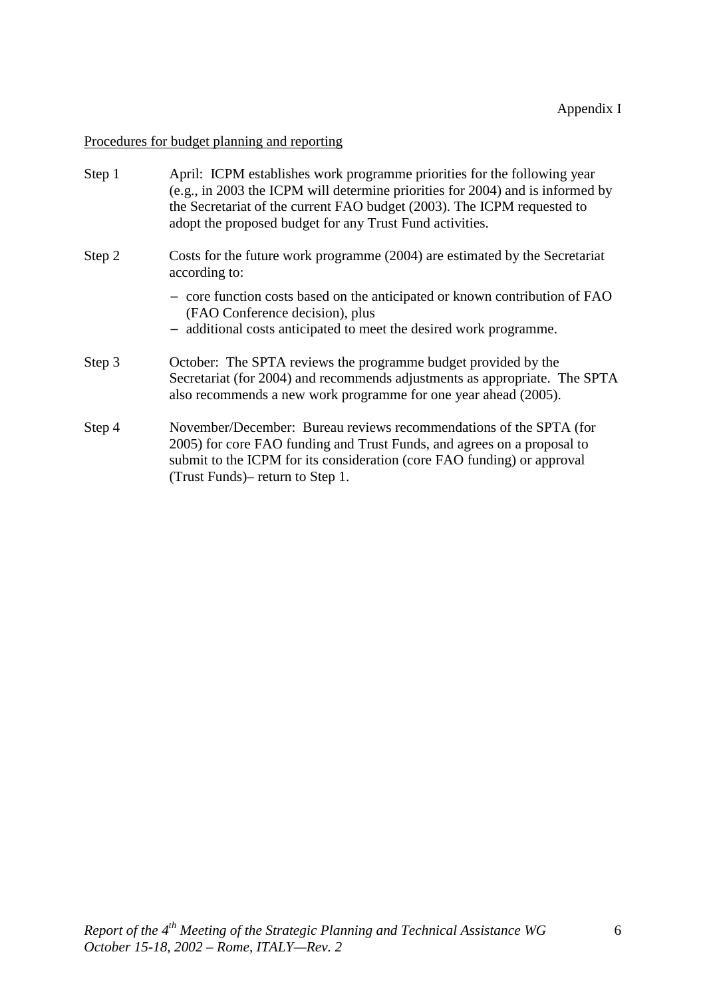# Procedures for budget planning and reporting

| Step 1 | April: ICPM establishes work programme priorities for the following year<br>(e.g., in 2003 the ICPM will determine priorities for 2004) and is informed by<br>the Secretariat of the current FAO budget (2003). The ICPM requested to<br>adopt the proposed budget for any Trust Fund activities. |
|--------|---------------------------------------------------------------------------------------------------------------------------------------------------------------------------------------------------------------------------------------------------------------------------------------------------|
| Step 2 | Costs for the future work programme (2004) are estimated by the Secretariat<br>according to:                                                                                                                                                                                                      |
|        | - core function costs based on the anticipated or known contribution of FAO<br>(FAO Conference decision), plus<br>- additional costs anticipated to meet the desired work programme.                                                                                                              |
| Step 3 | October: The SPTA reviews the programme budget provided by the<br>Secretariat (for 2004) and recommends adjustments as appropriate. The SPTA<br>also recommends a new work programme for one year ahead (2005).                                                                                   |
| Step 4 | November/December: Bureau reviews recommendations of the SPTA (for<br>2005) for core FAO funding and Trust Funds, and agrees on a proposal to<br>submit to the ICPM for its consideration (core FAO funding) or approval<br>(Trust Funds) – return to Step 1.                                     |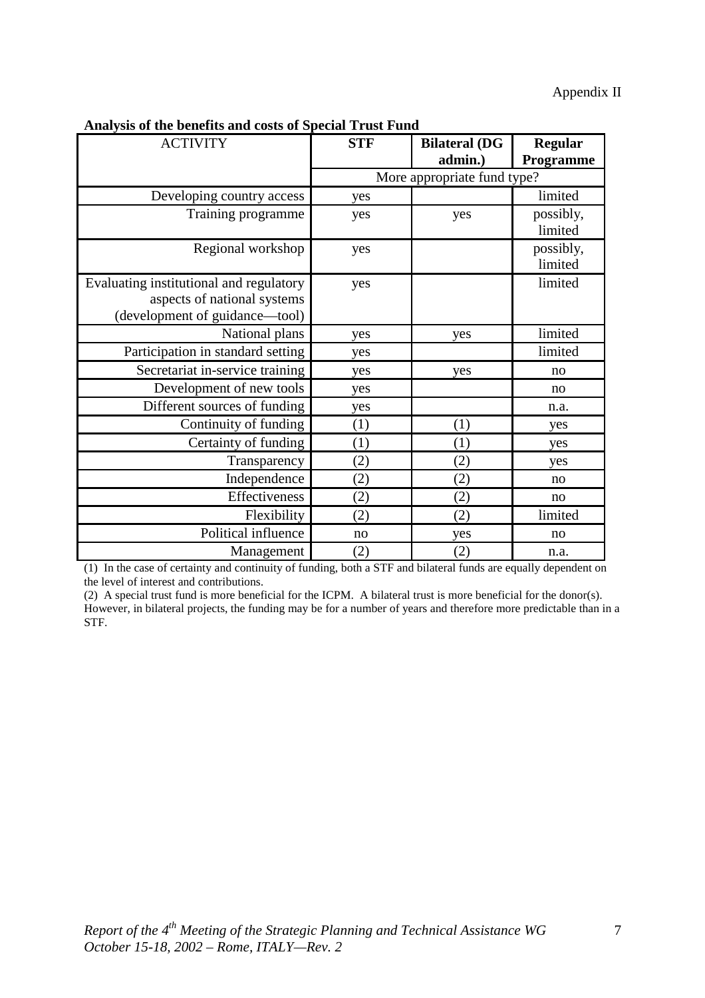| лиагуяв от ите всисны ана совы от врестат ттавет ана |            |                             |                |  |
|------------------------------------------------------|------------|-----------------------------|----------------|--|
| <b>ACTIVITY</b>                                      | <b>STF</b> | <b>Bilateral (DG</b>        | <b>Regular</b> |  |
|                                                      |            | admin.)                     | Programme      |  |
|                                                      |            | More appropriate fund type? |                |  |
| Developing country access                            | yes        |                             | limited        |  |
| Training programme                                   | yes        | yes                         | possibly,      |  |
|                                                      |            |                             | limited        |  |
| Regional workshop                                    | yes        |                             | possibly,      |  |
|                                                      |            |                             | limited        |  |
| Evaluating institutional and regulatory              | yes        |                             | limited        |  |
| aspects of national systems                          |            |                             |                |  |
| (development of guidance—tool)                       |            |                             |                |  |
| National plans                                       | yes        | yes                         | limited        |  |
| Participation in standard setting                    | yes        |                             | limited        |  |
| Secretariat in-service training                      | yes        | yes                         | no             |  |
| Development of new tools                             | yes        |                             | no             |  |
| Different sources of funding                         | yes        |                             | n.a.           |  |
| Continuity of funding                                | (1)        | (1)                         | yes            |  |
| Certainty of funding                                 | (1)        | (1)                         | yes            |  |
| Transparency                                         | (2)        | (2)                         | yes            |  |
| Independence                                         | (2)        | (2)                         | no             |  |
| Effectiveness                                        | (2)        | (2)                         | no             |  |
| Flexibility                                          | (2)        | (2)                         | limited        |  |
| Political influence                                  | no         | yes                         | no             |  |
| Management                                           | (2)        | (2)                         | n.a.           |  |

**Analysis of the benefits and costs of Special Trust Fund**

(1) In the case of certainty and continuity of funding, both a STF and bilateral funds are equally dependent on the level of interest and contributions.

(2) A special trust fund is more beneficial for the ICPM. A bilateral trust is more beneficial for the donor(s). However, in bilateral projects, the funding may be for a number of years and therefore more predictable than in a STF.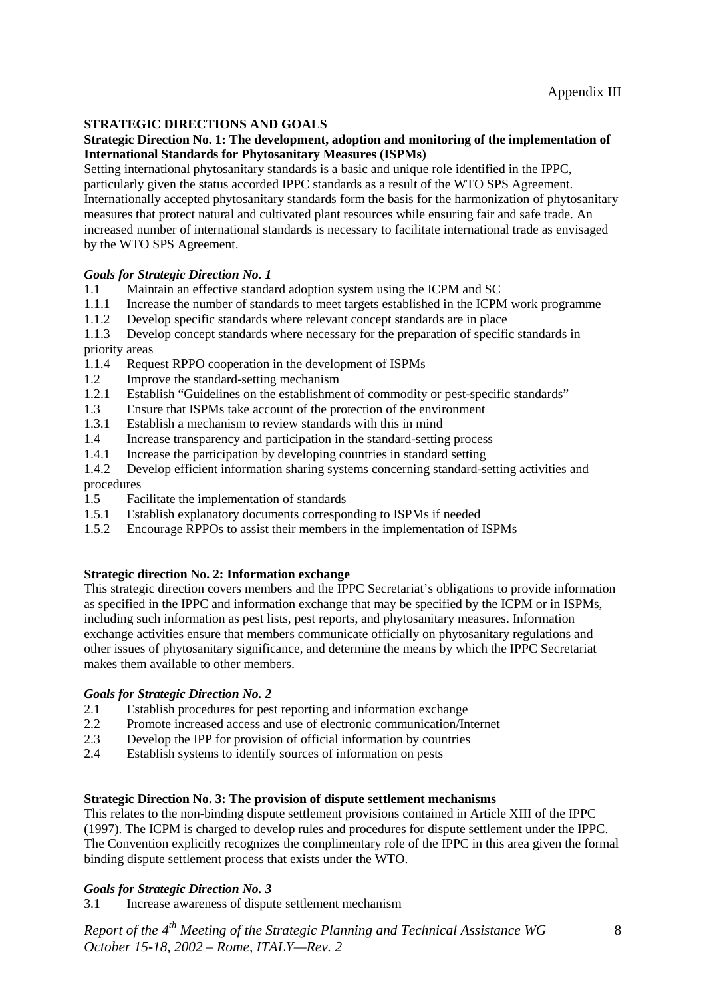#### **STRATEGIC DIRECTIONS AND GOALS**

#### **Strategic Direction No. 1: The development, adoption and monitoring of the implementation of International Standards for Phytosanitary Measures (ISPMs)**

Setting international phytosanitary standards is a basic and unique role identified in the IPPC, particularly given the status accorded IPPC standards as a result of the WTO SPS Agreement. Internationally accepted phytosanitary standards form the basis for the harmonization of phytosanitary measures that protect natural and cultivated plant resources while ensuring fair and safe trade. An increased number of international standards is necessary to facilitate international trade as envisaged by the WTO SPS Agreement.

#### *Goals for Strategic Direction No. 1*

- 1.1 Maintain an effective standard adoption system using the ICPM and SC
- 1.1.1 Increase the number of standards to meet targets established in the ICPM work programme
- 1.1.2 Develop specific standards where relevant concept standards are in place
- 1.1.3 Develop concept standards where necessary for the preparation of specific standards in priority areas
- 1.1.4 Request RPPO cooperation in the development of ISPMs
- 1.2 Improve the standard-setting mechanism
- 1.2.1 Establish "Guidelines on the establishment of commodity or pest-specific standards"
- 1.3 Ensure that ISPMs take account of the protection of the environment
- 1.3.1 Establish a mechanism to review standards with this in mind
- 1.4 Increase transparency and participation in the standard-setting process
- 1.4.1 Increase the participation by developing countries in standard setting
- 1.4.2 Develop efficient information sharing systems concerning standard-setting activities and procedures
- 1.5 Facilitate the implementation of standards
- 1.5.1 Establish explanatory documents corresponding to ISPMs if needed
- 1.5.2 Encourage RPPOs to assist their members in the implementation of ISPMs

#### **Strategic direction No. 2: Information exchange**

This strategic direction covers members and the IPPC Secretariat's obligations to provide information as specified in the IPPC and information exchange that may be specified by the ICPM or in ISPMs, including such information as pest lists, pest reports, and phytosanitary measures. Information exchange activities ensure that members communicate officially on phytosanitary regulations and other issues of phytosanitary significance, and determine the means by which the IPPC Secretariat makes them available to other members.

#### *Goals for Strategic Direction No. 2*

- 2.1 Establish procedures for pest reporting and information exchange
- 2.2 Promote increased access and use of electronic communication/Internet<br>2.3 Develop the IPP for provision of official information by countries
- Develop the IPP for provision of official information by countries
- 2.4 Establish systems to identify sources of information on pests

#### **Strategic Direction No. 3: The provision of dispute settlement mechanisms**

This relates to the non-binding dispute settlement provisions contained in Article XIII of the IPPC (1997). The ICPM is charged to develop rules and procedures for dispute settlement under the IPPC. The Convention explicitly recognizes the complimentary role of the IPPC in this area given the formal binding dispute settlement process that exists under the WTO.

#### *Goals for Strategic Direction No. 3*

3.1 Increase awareness of dispute settlement mechanism

*Report of the 4th Meeting of the Strategic Planning and Technical Assistance WG October 15-18, 2002 – Rome, ITALY—Rev. 2*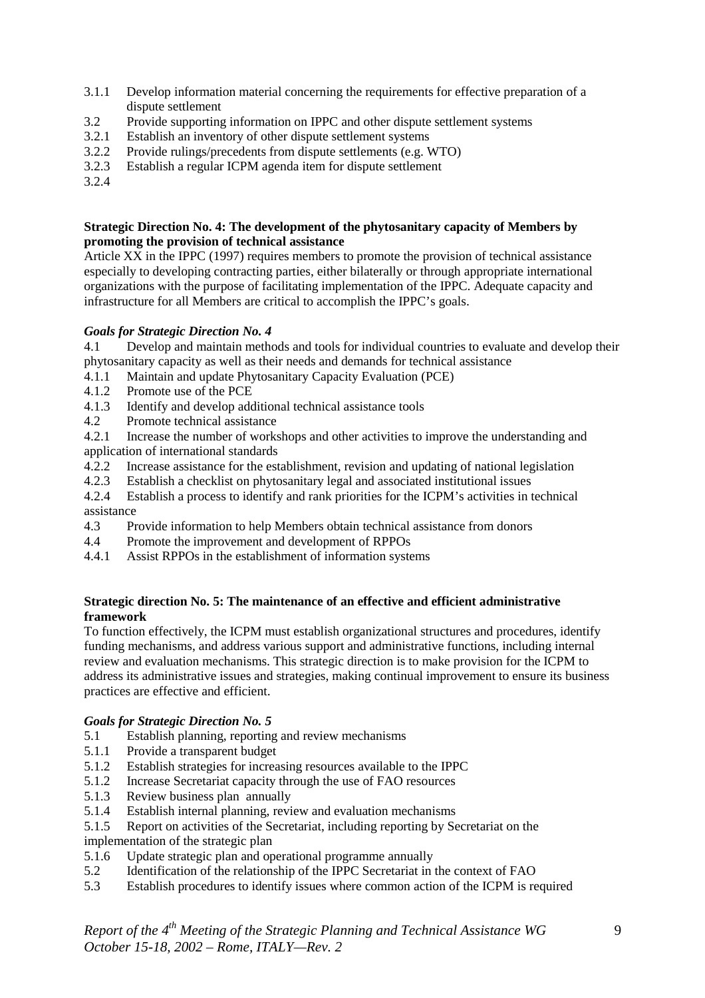- 3.1.1 Develop information material concerning the requirements for effective preparation of a dispute settlement
- 3.2 Provide supporting information on IPPC and other dispute settlement systems<br>3.2.1 Establish an inventory of other dispute settlement systems
- Establish an inventory of other dispute settlement systems
- 3.2.2 Provide rulings/precedents from dispute settlements (e.g. WTO)
- 3.2.3 Establish a regular ICPM agenda item for dispute settlement
- 3.2.4

#### **Strategic Direction No. 4: The development of the phytosanitary capacity of Members by promoting the provision of technical assistance**

Article XX in the IPPC (1997) requires members to promote the provision of technical assistance especially to developing contracting parties, either bilaterally or through appropriate international organizations with the purpose of facilitating implementation of the IPPC. Adequate capacity and infrastructure for all Members are critical to accomplish the IPPC's goals.

#### *Goals for Strategic Direction No. 4*

4.1 Develop and maintain methods and tools for individual countries to evaluate and develop their phytosanitary capacity as well as their needs and demands for technical assistance

- 4.1.1 Maintain and update Phytosanitary Capacity Evaluation (PCE)
- 4.1.2 Promote use of the PCE
- 4.1.3 Identify and develop additional technical assistance tools
- 4.2 Promote technical assistance

4.2.1 Increase the number of workshops and other activities to improve the understanding and application of international standards

- 4.2.2 Increase assistance for the establishment, revision and updating of national legislation
- 4.2.3 Establish a checklist on phytosanitary legal and associated institutional issues
- 4.2.4 Establish a process to identify and rank priorities for the ICPM's activities in technical assistance
- 4.3 Provide information to help Members obtain technical assistance from donors
- 4.4 Promote the improvement and development of RPPOs
- 4.4.1 Assist RPPOs in the establishment of information systems

#### **Strategic direction No. 5: The maintenance of an effective and efficient administrative framework**

To function effectively, the ICPM must establish organizational structures and procedures, identify funding mechanisms, and address various support and administrative functions, including internal review and evaluation mechanisms. This strategic direction is to make provision for the ICPM to address its administrative issues and strategies, making continual improvement to ensure its business practices are effective and efficient.

#### *Goals for Strategic Direction No. 5*

- 5.1 Establish planning, reporting and review mechanisms<br>5.1.1 Provide a transparent budget
- Provide a transparent budget
- 5.1.2 Establish strategies for increasing resources available to the IPPC
- 5.1.2 Increase Secretariat capacity through the use of FAO resources
- 5.1.3 Review business plan annually
- 5.1.4 Establish internal planning, review and evaluation mechanisms
- 5.1.5 Report on activities of the Secretariat, including reporting by Secretariat on the implementation of the strategic plan
- 5.1.6 Update strategic plan and operational programme annually
- 5.2 Identification of the relationship of the IPPC Secretariat in the context of FAO
- 5.3 Establish procedures to identify issues where common action of the ICPM is required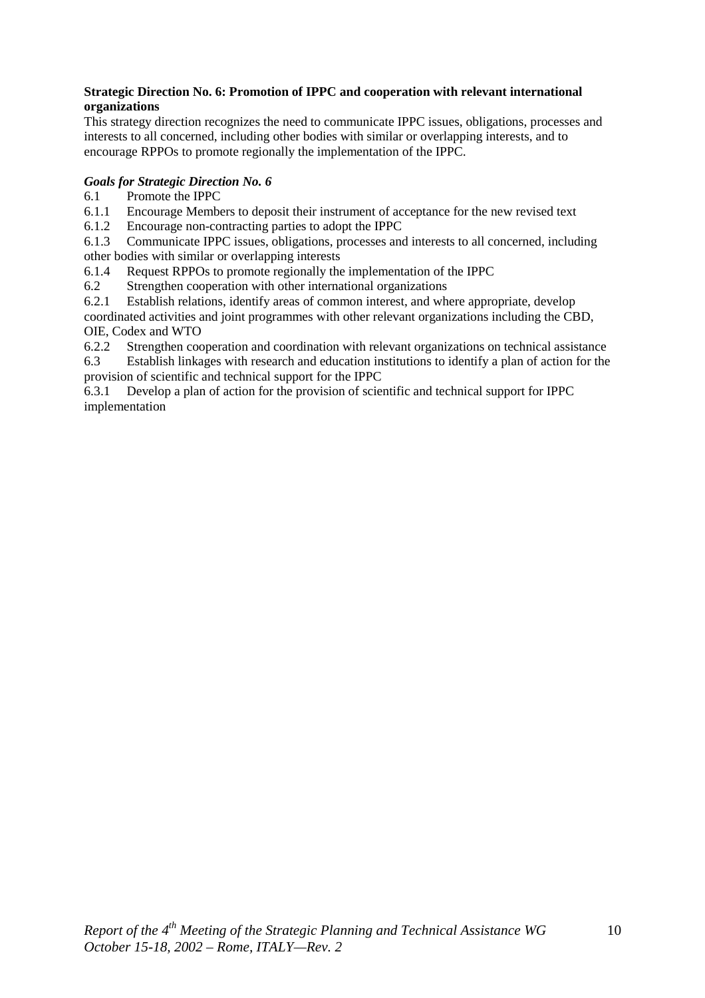#### **Strategic Direction No. 6: Promotion of IPPC and cooperation with relevant international organizations**

This strategy direction recognizes the need to communicate IPPC issues, obligations, processes and interests to all concerned, including other bodies with similar or overlapping interests, and to encourage RPPOs to promote regionally the implementation of the IPPC.

### *Goals for Strategic Direction No. 6*

- 6.1 Promote the IPPC
- 6.1.1 Encourage Members to deposit their instrument of acceptance for the new revised text
- 6.1.2 Encourage non-contracting parties to adopt the IPPC

6.1.3 Communicate IPPC issues, obligations, processes and interests to all concerned, including other bodies with similar or overlapping interests

6.1.4 Request RPPOs to promote regionally the implementation of the IPPC

6.2 Strengthen cooperation with other international organizations

6.2.1 Establish relations, identify areas of common interest, and where appropriate, develop coordinated activities and joint programmes with other relevant organizations including the CBD, OIE, Codex and WTO

6.2.2 Strengthen cooperation and coordination with relevant organizations on technical assistance

6.3 Establish linkages with research and education institutions to identify a plan of action for the provision of scientific and technical support for the IPPC

6.3.1 Develop a plan of action for the provision of scientific and technical support for IPPC implementation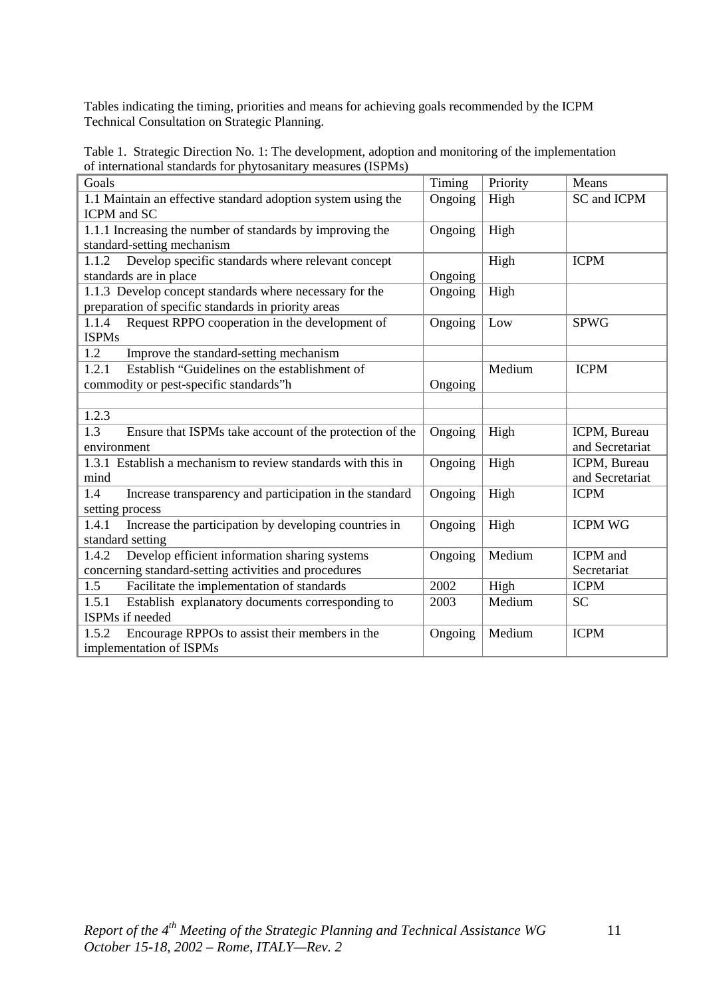Tables indicating the timing, priorities and means for achieving goals recommended by the ICPM Technical Consultation on Strategic Planning.

Table 1. Strategic Direction No. 1: The development, adoption and monitoring of the implementation of international standards for phytosanitary measures (ISPMs)

| Goals                                                          | Timing  | Priority | Means           |
|----------------------------------------------------------------|---------|----------|-----------------|
| 1.1 Maintain an effective standard adoption system using the   |         | High     | SC and ICPM     |
| <b>ICPM</b> and SC                                             |         |          |                 |
| 1.1.1 Increasing the number of standards by improving the      | Ongoing | High     |                 |
| standard-setting mechanism                                     |         |          |                 |
| Develop specific standards where relevant concept<br>1.1.2     |         | High     | <b>ICPM</b>     |
| standards are in place                                         | Ongoing |          |                 |
| 1.1.3 Develop concept standards where necessary for the        | Ongoing | High     |                 |
| preparation of specific standards in priority areas            |         |          |                 |
| Request RPPO cooperation in the development of<br>1.1.4        | Ongoing | Low      | <b>SPWG</b>     |
| <b>ISPMs</b>                                                   |         |          |                 |
| 1.2<br>Improve the standard-setting mechanism                  |         |          |                 |
| 1.2.1<br>Establish "Guidelines on the establishment of         |         | Medium   | <b>ICPM</b>     |
| commodity or pest-specific standards"h                         | Ongoing |          |                 |
|                                                                |         |          |                 |
| 1.2.3                                                          |         |          |                 |
| 1.3<br>Ensure that ISPMs take account of the protection of the | Ongoing | High     | ICPM, Bureau    |
| environment                                                    |         |          | and Secretariat |
| 1.3.1 Establish a mechanism to review standards with this in   | Ongoing | High     | ICPM, Bureau    |
| mind                                                           |         |          | and Secretariat |
| 1.4<br>Increase transparency and participation in the standard | Ongoing | High     | <b>ICPM</b>     |
| setting process                                                |         |          |                 |
| 1.4.1<br>Increase the participation by developing countries in | Ongoing | High     | <b>ICPM WG</b>  |
| standard setting                                               |         |          |                 |
| Develop efficient information sharing systems<br>1.4.2         | Ongoing | Medium   | ICPM and        |
| concerning standard-setting activities and procedures          |         |          | Secretariat     |
| Facilitate the implementation of standards<br>1.5              | 2002    | High     | <b>ICPM</b>     |
| 1.5.1<br>Establish explanatory documents corresponding to      | 2003    | Medium   | <b>SC</b>       |
| ISPMs if needed                                                |         |          |                 |
| Encourage RPPOs to assist their members in the<br>1.5.2        | Ongoing | Medium   | <b>ICPM</b>     |
| implementation of ISPMs                                        |         |          |                 |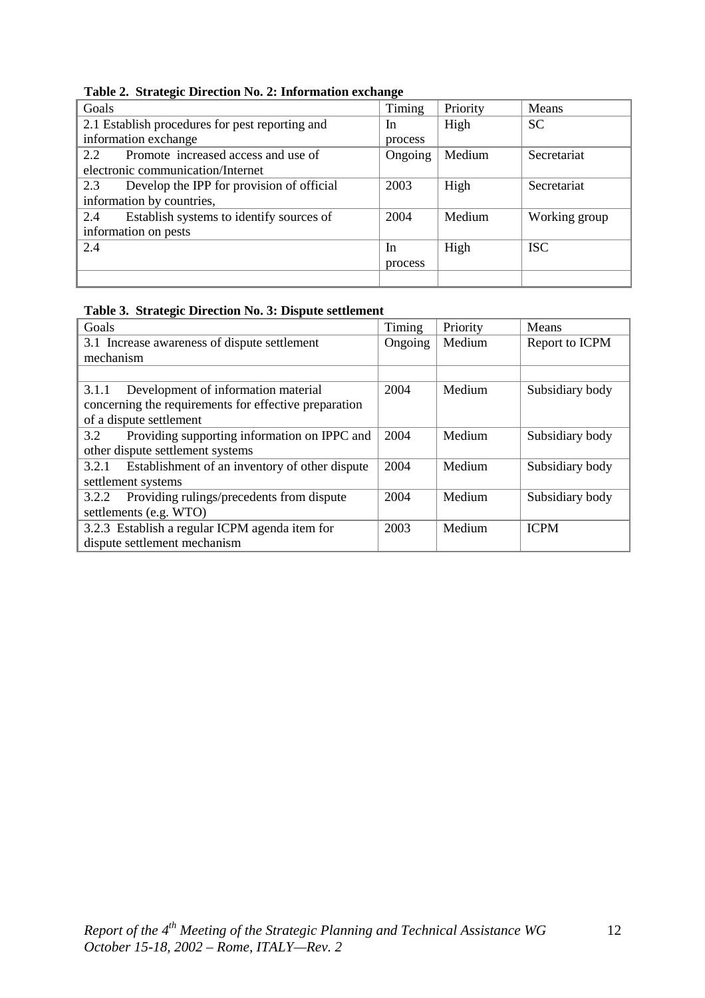| Timing                                               |         |          |               |
|------------------------------------------------------|---------|----------|---------------|
| Goals                                                |         | Priority | Means         |
| 2.1 Establish procedures for pest reporting and      | In      | High     | <b>SC</b>     |
| information exchange                                 | process |          |               |
| Promote increased access and use of<br>$2.2^{\circ}$ | Ongoing | Medium   | Secretariat   |
| electronic communication/Internet                    |         |          |               |
| Develop the IPP for provision of official<br>2.3     | 2003    | High     | Secretariat   |
| information by countries,                            |         |          |               |
| Establish systems to identify sources of<br>2.4      | 2004    | Medium   | Working group |
| information on pests                                 |         |          |               |
| 2.4                                                  | In      | High     | <b>ISC</b>    |
|                                                      | process |          |               |
|                                                      |         |          |               |

**Table 2. Strategic Direction No. 2: Information exchange** 

#### **Table 3. Strategic Direction No. 3: Dispute settlement**

| Goals                                                   | Timing  | Priority | Means           |
|---------------------------------------------------------|---------|----------|-----------------|
| 3.1 Increase awareness of dispute settlement            | Ongoing | Medium   | Report to ICPM  |
| mechanism                                               |         |          |                 |
|                                                         |         |          |                 |
| Development of information material<br>3.1.1            | 2004    | Medium   | Subsidiary body |
| concerning the requirements for effective preparation   |         |          |                 |
| of a dispute settlement                                 |         |          |                 |
| Providing supporting information on IPPC and<br>3.2     | 2004    | Medium   | Subsidiary body |
| other dispute settlement systems                        |         |          |                 |
| Establishment of an inventory of other dispute<br>3.2.1 | 2004    | Medium   | Subsidiary body |
| settlement systems                                      |         |          |                 |
| Providing rulings/precedents from dispute<br>3.2.2      | 2004    | Medium   | Subsidiary body |
| settlements (e.g. WTO)                                  |         |          |                 |
| 3.2.3 Establish a regular ICPM agenda item for          | 2003    | Medium   | <b>ICPM</b>     |
| dispute settlement mechanism                            |         |          |                 |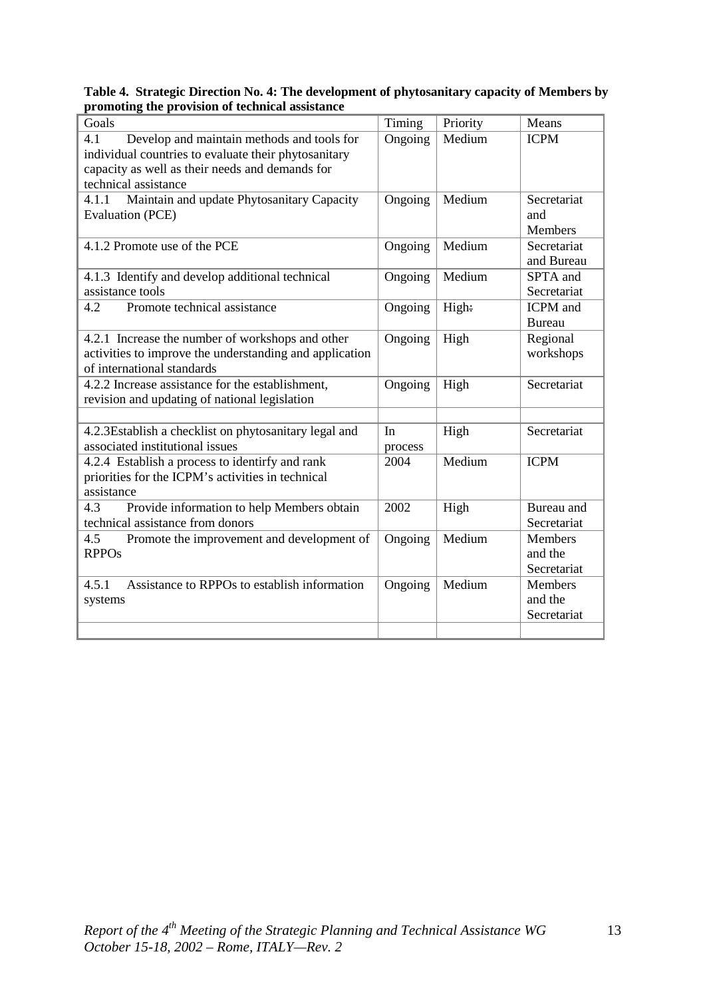| Goals                                                   | Timing  | Priority | Means          |
|---------------------------------------------------------|---------|----------|----------------|
| 4.1<br>Develop and maintain methods and tools for       | Ongoing | Medium   | <b>ICPM</b>    |
| individual countries to evaluate their phytosanitary    |         |          |                |
| capacity as well as their needs and demands for         |         |          |                |
| technical assistance                                    |         |          |                |
| Maintain and update Phytosanitary Capacity<br>4.1.1     | Ongoing | Medium   | Secretariat    |
| <b>Evaluation (PCE)</b>                                 |         |          | and            |
|                                                         |         |          | <b>Members</b> |
| 4.1.2 Promote use of the PCE                            | Ongoing | Medium   | Secretariat    |
|                                                         |         |          | and Bureau     |
| 4.1.3 Identify and develop additional technical         | Ongoing | Medium   | SPTA and       |
| assistance tools                                        |         |          | Secretariat    |
| Promote technical assistance<br>4.2                     | Ongoing | High:    | ICPM and       |
|                                                         |         |          | <b>Bureau</b>  |
| 4.2.1 Increase the number of workshops and other        | Ongoing | High     | Regional       |
| activities to improve the understanding and application |         |          | workshops      |
| of international standards                              |         |          |                |
| 4.2.2 Increase assistance for the establishment,        | Ongoing | High     | Secretariat    |
| revision and updating of national legislation           |         |          |                |
|                                                         |         |          |                |
| 4.2.3Establish a checklist on phytosanitary legal and   | In      | High     | Secretariat    |
| associated institutional issues                         | process |          |                |
| 4.2.4 Establish a process to identirfy and rank         | 2004    | Medium   | <b>ICPM</b>    |
| priorities for the ICPM's activities in technical       |         |          |                |
| assistance                                              |         |          |                |
| 4.3<br>Provide information to help Members obtain       | 2002    | High     | Bureau and     |
| technical assistance from donors                        |         |          | Secretariat    |
| 4.5<br>Promote the improvement and development of       | Ongoing | Medium   | <b>Members</b> |
| <b>RPPOs</b>                                            |         |          | and the        |
|                                                         |         |          | Secretariat    |
| Assistance to RPPOs to establish information<br>4.5.1   | Ongoing | Medium   | Members        |
| systems                                                 |         |          | and the        |
|                                                         |         |          | Secretariat    |
|                                                         |         |          |                |

### **Table 4. Strategic Direction No. 4: The development of phytosanitary capacity of Members by promoting the provision of technical assistance**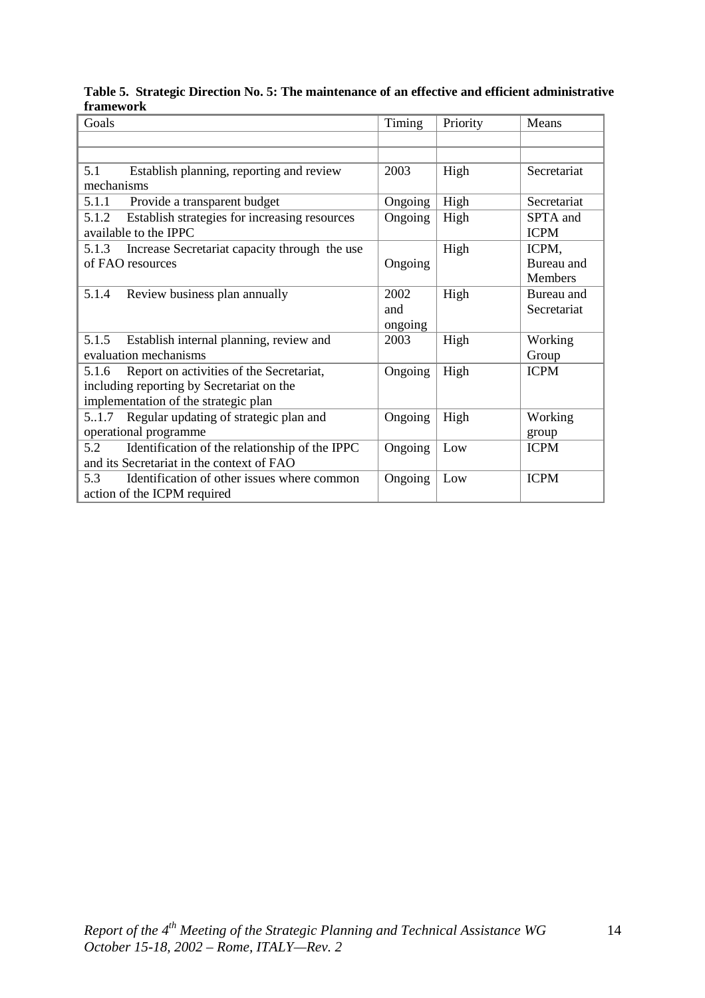## **Table 5. Strategic Direction No. 5: The maintenance of an effective and efficient administrative framework**

| Goals                                                                           | Timing  | Priority | Means                   |
|---------------------------------------------------------------------------------|---------|----------|-------------------------|
|                                                                                 |         |          |                         |
|                                                                                 |         |          |                         |
| 5.1<br>Establish planning, reporting and review                                 | 2003    | High     | Secretariat             |
| mechanisms                                                                      |         |          |                         |
| 5.1.1<br>Provide a transparent budget                                           | Ongoing | High     | Secretariat             |
| Establish strategies for increasing resources<br>5.1.2<br>available to the IPPC | Ongoing | High     | SPTA and<br><b>ICPM</b> |
| Increase Secretariat capacity through the use<br>5.1.3                          |         | High     | ICPM,                   |
| of FAO resources                                                                | Ongoing |          | Bureau and              |
|                                                                                 |         |          | Members                 |
| 5.1.4<br>Review business plan annually                                          | 2002    | High     | Bureau and              |
|                                                                                 | and     |          | Secretariat             |
|                                                                                 | ongoing |          |                         |
| 5.1.5 Establish internal planning, review and                                   | 2003    | High     | Working                 |
| evaluation mechanisms                                                           |         |          | Group                   |
| Report on activities of the Secretariat,<br>5.1.6                               | Ongoing | High     | <b>ICPM</b>             |
| including reporting by Secretariat on the                                       |         |          |                         |
| implementation of the strategic plan                                            |         |          |                         |
| Regular updating of strategic plan and<br>5.1.7                                 | Ongoing | High     | Working                 |
| operational programme                                                           |         |          | group                   |
| 5.2<br>Identification of the relationship of the IPPC                           | Ongoing | Low      | <b>ICPM</b>             |
| and its Secretariat in the context of FAO                                       |         |          |                         |
| 5.3<br>Identification of other issues where common                              | Ongoing | Low      | <b>ICPM</b>             |
| action of the ICPM required                                                     |         |          |                         |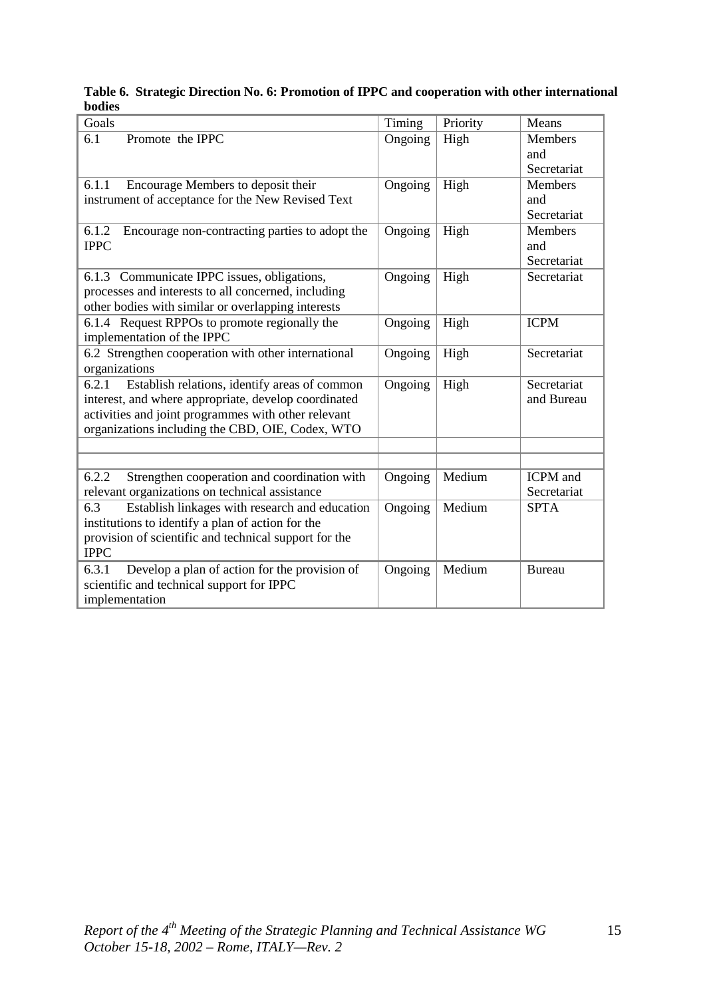## **Table 6. Strategic Direction No. 6: Promotion of IPPC and cooperation with other international bodies**

| Goals                                                                                                          | Timing  | Priority | Means                     |
|----------------------------------------------------------------------------------------------------------------|---------|----------|---------------------------|
| Promote the IPPC<br>6.1                                                                                        | Ongoing | High     | Members                   |
|                                                                                                                |         |          | and                       |
|                                                                                                                |         |          | Secretariat               |
| 6.1.1<br>Encourage Members to deposit their                                                                    | Ongoing | High     | <b>Members</b>            |
| instrument of acceptance for the New Revised Text                                                              |         |          | and                       |
|                                                                                                                |         |          | Secretariat               |
| 6.1.2<br>Encourage non-contracting parties to adopt the                                                        | Ongoing | High     | Members                   |
| <b>IPPC</b>                                                                                                    |         |          | and                       |
|                                                                                                                |         |          | Secretariat               |
| 6.1.3 Communicate IPPC issues, obligations,                                                                    | Ongoing | High     | Secretariat               |
| processes and interests to all concerned, including                                                            |         |          |                           |
| other bodies with similar or overlapping interests                                                             |         |          |                           |
| 6.1.4 Request RPPOs to promote regionally the                                                                  | Ongoing | High     | <b>ICPM</b>               |
| implementation of the IPPC                                                                                     |         |          |                           |
| 6.2 Strengthen cooperation with other international                                                            | Ongoing | High     | Secretariat               |
| organizations                                                                                                  |         |          |                           |
| 6.2.1<br>Establish relations, identify areas of common<br>interest, and where appropriate, develop coordinated | Ongoing | High     | Secretariat<br>and Bureau |
| activities and joint programmes with other relevant                                                            |         |          |                           |
| organizations including the CBD, OIE, Codex, WTO                                                               |         |          |                           |
|                                                                                                                |         |          |                           |
|                                                                                                                |         |          |                           |
| 6.2.2<br>Strengthen cooperation and coordination with                                                          | Ongoing | Medium   | <b>ICPM</b> and           |
| relevant organizations on technical assistance                                                                 |         |          | Secretariat               |
| Establish linkages with research and education<br>6.3                                                          | Ongoing | Medium   | <b>SPTA</b>               |
| institutions to identify a plan of action for the                                                              |         |          |                           |
| provision of scientific and technical support for the                                                          |         |          |                           |
| <b>IPPC</b>                                                                                                    |         |          |                           |
| 6.3.1<br>Develop a plan of action for the provision of                                                         | Ongoing | Medium   | <b>Bureau</b>             |
| scientific and technical support for IPPC                                                                      |         |          |                           |
| implementation                                                                                                 |         |          |                           |